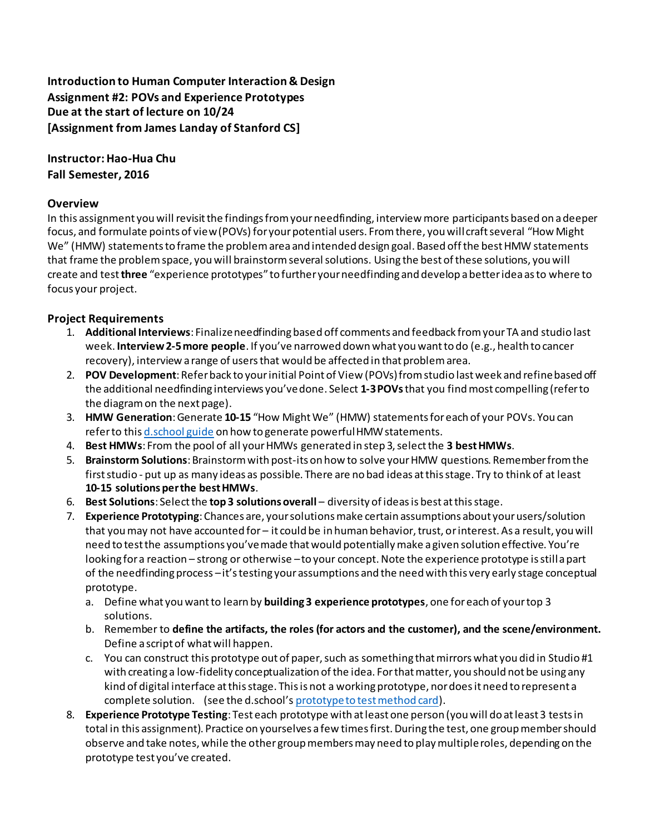# **Introduction to Human Computer Interaction & Design Assignment #2: POVs and Experience Prototypes Due at the start of lecture on 10/24 [Assignment from James Landay of Stanford CS]**

# **Instructor: Hao-Hua Chu Fall Semester, 2016**

## **Overview**

In this assignment you will revisit the findings from your needfinding, interview more participants based on a deeper focus, and formulate points of view (POVs) for your potential users. From there, you will craft several "How Might We" (HMW) statements to frame the problem area and intended design goal. Based off the best HMW statements that frame the problem space, you will brainstorm several solutions. Using the best of these solutions, you will create and test **three** "experience prototypes" to further your needfinding and develop a better idea as to where to focus your project.

# **Project Requirements**

- 1. **Additional Interviews**: Finalize needfinding based off comments and feedback from your TA and studio last week. **Interview 2-5 more people**. If you've narrowed down what you want to do (e.g., health to cancer recovery), interview a range of users that would be affected in that problem area.
- 2. **POV Development**: Refer back to your initial Point of View (POVs) from studio last week and refine based off the additional needfinding interviews you've done. Select **1-3POVs** that you find most compelling (refer to the diagram on the next page).
- 3. **HMW Generation**: Generate **10-15** "How Might We" (HMW) statements for each of your POVs. You can refer to thi[s d.school guide](http://dschool.stanford.edu/wp-content/uploads/2012/05/HMW-METHODCARD.pdf) on how to generate powerful HMW statements.
- 4. **Best HMWs**: From the pool of all your HMWs generated in step 3, select the **3 best HMWs**.
- 5. **Brainstorm Solutions**: Brainstorm with post-its on how to solve your HMW questions. Remember from the first studio - put up as many ideas as possible. There are no bad ideas at this stage. Try to think of at least **10-15 solutions per the best HMWs**.
- 6. **Best Solutions**: Select the **top 3 solutions overall** diversity of ideas is best at this stage.
- 7. **Experience Prototyping**: Chances are, your solutions make certain assumptions about your users/solution that you may not have accounted for – it could be in human behavior, trust, or interest. As a result, you will need to test the assumptions you've made that would potentially make a given solution effective. You're looking for a reaction – strong or otherwise –to your concept. Note the experience prototype is still a part of the needfinding process –it's testing your assumptions and the need with this very early stage conceptual prototype.
	- a. Define what you want to learn by **building 3 experience prototypes**, one for each of your top 3 solutions.
	- b. Remember to **define the artifacts, the roles (for actors and the customer), and the scene/environment.** Define a script of what will happen.
	- c. You can construct this prototype out of paper, such as something that mirrors what you did in Studio #1 with creating a low-fidelity conceptualization of the idea. For that matter, you should not be using any kind of digital interface at this stage. This is not a working prototype, nor does it need to represent a complete solution. (see the d.school's [prototype to test method card\)](http://dschool.stanford.edu/wp-content/themes/dschool/method-cards/prototype-to-test.pdf).
- 8. **Experience Prototype Testing**: Test each prototype with at least one person (you will do at least 3 tests in total in this assignment). Practice on yourselves a few times first. During the test, one group member should observe and take notes, while the other group members may need to play multiple roles, depending on the prototype test you've created.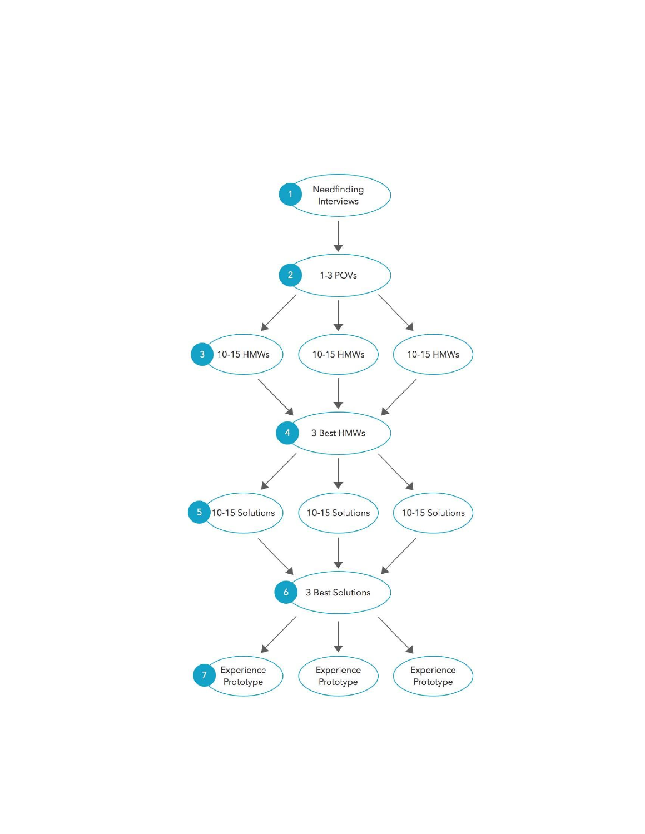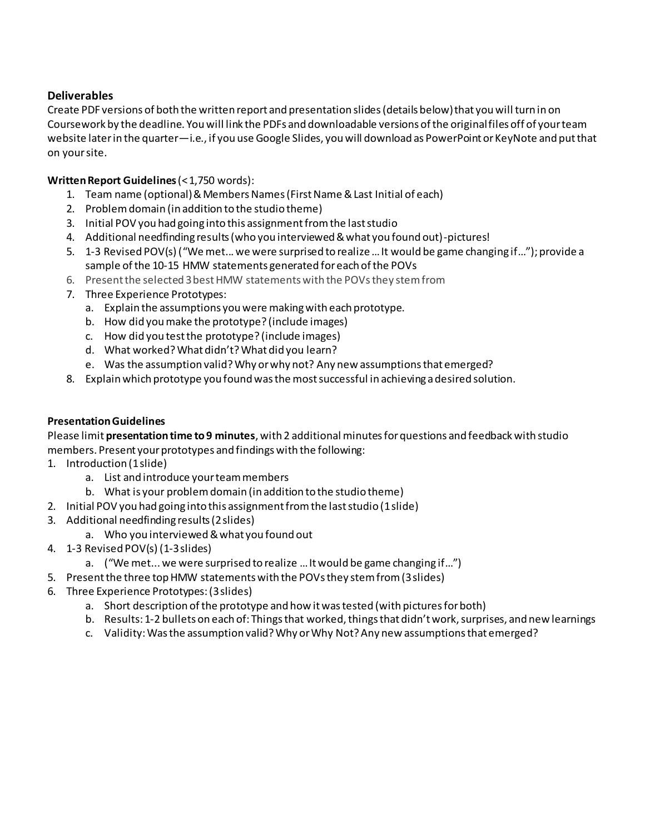# **Deliverables**

Create PDF versions of both the written report and presentation slides (details below) that you will turn in on Coursework by the deadline. You will link the PDFs and downloadable versions of the original files off of your team website later in the quarter—i.e., if you use Google Slides, you will download as PowerPoint or KeyNote and put that on your site.

## **Written Report Guidelines (< 1,750 words):**

- 1. Team name (optional) & Members Names (First Name & Last Initial of each)
- 2. Problem domain (in addition to the studio theme)
- 3. Initial POV you had going into this assignment from the last studio
- 4. Additional needfinding results (who you interviewed & what you found out)-pictures!
- 5. 1-3 Revised POV(s) ("We met... we were surprised to realize …It would be game changing if…"); provide a sample of the 10-15 HMW statements generated for each of the POVs
- 6. Present the selected 3 best HMW statements with the POVs they stem from
- 7. Three Experience Prototypes:
	- a. Explain the assumptions you were making with each prototype.
	- b. How did you make the prototype? (include images)
	- c. How did you test the prototype? (include images)
	- d. What worked? What didn't? What did you learn?
	- e. Was the assumption valid? Why or why not? Any new assumptions that emerged?
- 8. Explain which prototype you found was the most successful in achieving a desired solution.

#### **Presentation Guidelines**

Please limit **presentation time to 9 minutes**, with 2 additional minutes for questions and feedback with studio members. Present your prototypes and findings with the following:

- 1. Introduction (1 slide)
	- a. List and introduce your team members
	- b. What is your problem domain (in addition to the studio theme)
- 2. Initial POV you had going into this assignment from the last studio (1 slide)
- 3. Additional needfinding results (2 slides)
	- a. Who you interviewed & what you found out
- 4. 1-3 Revised POV(s) (1-3 slides)
	- a. ("We met... we were surprised to realize …It would be game changing if…")
- 5. Present the three top HMW statements with the POVs they stem from (3 slides)
- 6. Three Experience Prototypes: (3 slides)
	- a. Short description of the prototype and how it was tested (with pictures for both)
	- b. Results: 1-2 bullets on each of: Things that worked, things that didn't work, surprises, and new learnings
	- c. Validity: Was the assumption valid? Why or Why Not? Any new assumptions that emerged?